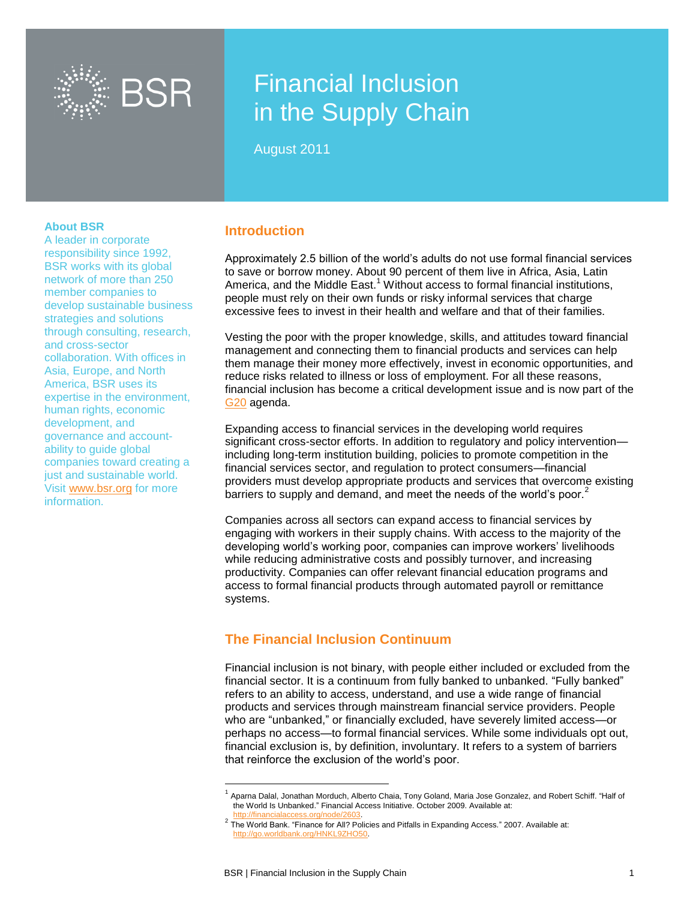

# Financial Inclusion in the Supply Chain

August 2011

#### **About BSR**

A leader in corporate responsibility since 1992, BSR works with its global network of more than [250](http://10.0.0.99/membership/index.cfm)  [member companies](http://10.0.0.99/membership/index.cfm) to develop sustainable business strategies and solutions through [consulting,](http://10.0.0.99/consulting/index.cfm) [research,](http://10.0.0.99/research/index.cfm) and cross-sector collaboration. With offices in Asia, Europe, and North America, BSR uses its expertise in the environment, human rights, economic development, and governance and accountability to guide global companies toward creating a just and sustainable world. Visit [www.bsr.org](http://www.bsr.org/) for more information.

### **Introduction**

Approximately 2.5 billion of the world's adults do not use formal financial services to save or borrow money. About 90 percent of them live in Africa, Asia, Latin America, and the Middle East.<sup>1</sup> Without access to formal financial institutions, people must rely on their own funds or risky informal services that charge excessive fees to invest in their health and welfare and that of their families.

Vesting the poor with the proper knowledge, skills, and attitudes toward financial management and connecting them to financial products and services can help them manage their money more effectively, invest in economic opportunities, and reduce risks related to illness or loss of employment. For all these reasons, financial inclusion has become a critical development issue and is now part of the [G20](http://www.g20.org/) agenda.

Expanding access to financial services in the developing world requires significant cross-sector efforts. In addition to regulatory and policy intervention including long-term institution building, policies to promote competition in the financial services sector, and regulation to protect consumers—financial providers must develop appropriate products and services that overcome existing barriers to supply and demand, and meet the needs of the world's poor. $2$ 

Companies across all sectors can expand access to financial services by engaging with workers in their supply chains. With access to the majority of the developing world's working poor, companies can improve workers' livelihoods while reducing administrative costs and possibly turnover, and increasing productivity. Companies can offer relevant financial education programs and access to formal financial products through automated payroll or remittance systems.

# **The Financial Inclusion Continuum**

Financial inclusion is not binary, with people either included or excluded from the financial sector. It is a continuum from fully banked to unbanked. "Fully banked" refers to an ability to access, understand, and use a wide range of financial products and services through mainstream financial service providers. People who are "unbanked," or financially excluded, have severely limited access—or perhaps no access—to formal financial services. While some individuals opt out, financial exclusion is, by definition, involuntary. It refers to a system of barriers that reinforce the exclusion of the world's poor.

l

<sup>&</sup>lt;sup>1</sup> Aparna Dalal, Jonathan Morduch, Alberto Chaia, Tony Goland, Maria Jose Gonzalez, and Robert Schiff. "Half of the World Is Unbanked." Financial Access Initiative. October 2009. Available at:

http://financialaccess.org/node/2603.<br><sup>2</sup> The World Bank. "Finance for All? Policies and Pitfalls in Expanding Access." 2007. Available at: [http://go.worldbank.org/HNKL9ZHO50.](http://go.worldbank.org/HNKL9ZHO50)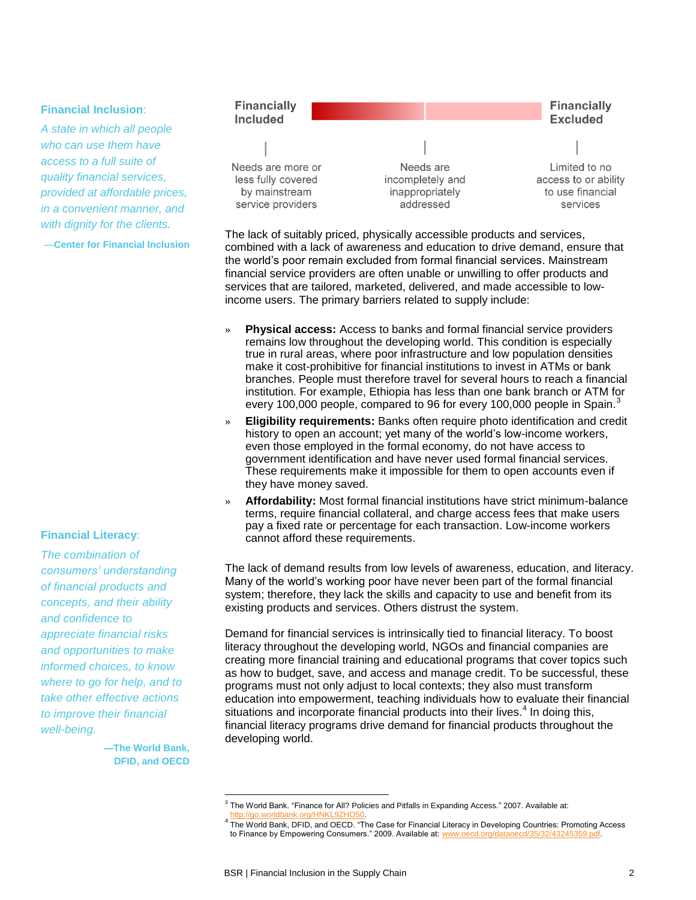#### **Financial Inclusion**:

*A state in which all people who can use them have access to a full suite of quality financial services, provided at affordable prices, in a convenient manner, and with dignity for the clients.*

—**Center for Financial Inclusion**

#### **Financial Literacy**:

*The combination of consumers' understanding of financial products and concepts, and their ability and confidence to appreciate financial risks and opportunities to make informed choices, to know where to go for help, and to take other effective actions to improve their financial well-being.*

> **—The World Bank, DFID, and OECD**



The lack of suitably priced, physically accessible products and services, combined with a lack of awareness and education to drive demand, ensure that the world's poor remain excluded from formal financial services. Mainstream financial service providers are often unable or unwilling to offer products and services that are tailored, marketed, delivered, and made accessible to lowincome users. The primary barriers related to supply include:

- » **Physical access:** Access to banks and formal financial service providers remains low throughout the developing world. This condition is especially true in rural areas, where poor infrastructure and low population densities make it cost-prohibitive for financial institutions to invest in ATMs or bank branches. People must therefore travel for several hours to reach a financial institution. For example, Ethiopia has less than one bank branch or ATM for every 100,000 people, compared to 96 for every 100,000 people in Spain.<sup>3</sup>
- » **Eligibility requirements:** Banks often require photo identification and credit history to open an account; yet many of the world's low-income workers, even those employed in the formal economy, do not have access to government identification and have never used formal financial services. These requirements make it impossible for them to open accounts even if they have money saved.
- » **Affordability:** Most formal financial institutions have strict minimum-balance terms, require financial collateral, and charge access fees that make users pay a fixed rate or percentage for each transaction. Low-income workers cannot afford these requirements.

The lack of demand results from low levels of awareness, education, and literacy. Many of the world's working poor have never been part of the formal financial system; therefore, they lack the skills and capacity to use and benefit from its existing products and services. Others distrust the system.

Demand for financial services is intrinsically tied to financial literacy. To boost literacy throughout the developing world, NGOs and financial companies are creating more financial training and educational programs that cover topics such as how to budget, save, and access and manage credit. To be successful, these programs must not only adjust to local contexts; they also must transform education into empowerment, teaching individuals how to evaluate their financial situations and incorporate financial products into their lives. $4$  In doing this, financial literacy programs drive demand for financial products throughout the developing world.

 3 The World Bank. "Finance for All? Policies and Pitfalls in Expanding Access." 2007. Available at:

<sup>&</sup>lt;sub>4</sub> [http://go.worldbank.org/HNKL9ZHO50.](http://go.worldbank.org/HNKL9ZHO50)<br><sup>4</sup> The World Bank, DFID, and OECD. "The Case for Financial Literacy in Developing Countries: Promoting Access to Finance by Empowering Consumers." 2009. Available at: [www.oecd.org/dataoecd/35/32/43245359.pdf.](http://www.oecd.org/dataoecd/35/32/43245359.pdf)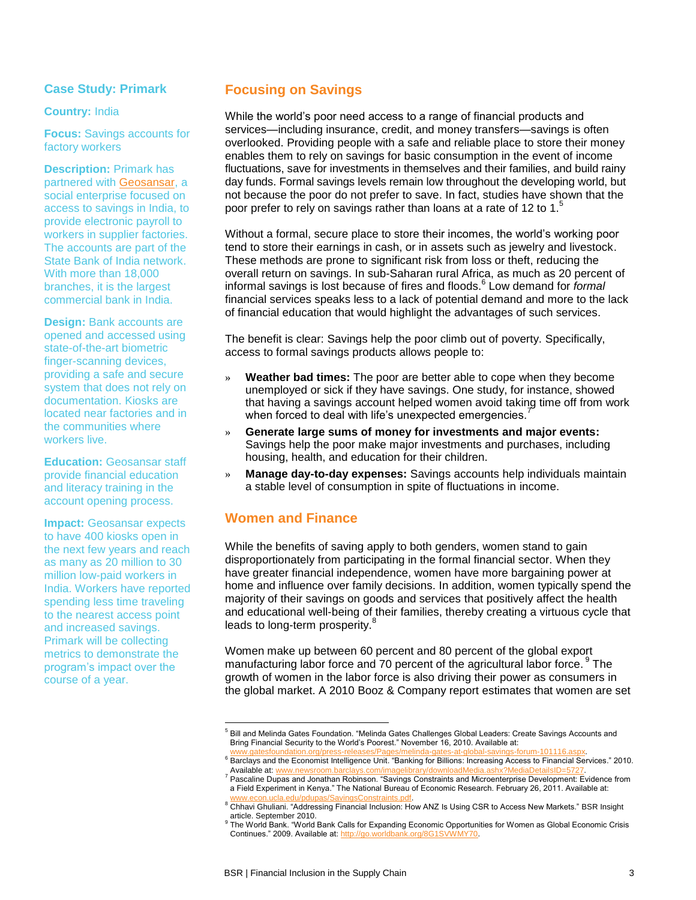# **Case Study: Primark**

#### **Country:** India

**Focus:** Savings accounts for factory workers

**Description:** Primark has partnered with [Geosansar,](http://geosansar.com/index.php) a social enterprise focused on access to savings in India, to provide electronic payroll to workers in supplier factories. The accounts are part of the State Bank of India network. With more than 18,000 branches, it is the largest commercial bank in India.

**Design:** Bank accounts are opened and accessed using state-of-the-art biometric finger-scanning devices, providing a safe and secure system that does not rely on documentation. Kiosks are located near factories and in the communities where workers live.

**Education: Geosansar staff** provide financial education and literacy training in the account opening process.

**Impact:** Geosansar expects to have 400 kiosks open in the next few years and reach as many as 20 million to 30 million low-paid workers in India. Workers have reported spending less time traveling to the nearest access point and increased savings. Primark will be collecting metrics to demonstrate the program's impact over the course of a year.

# **Focusing on Savings**

While the world's poor need access to a range of financial products and services—including insurance, credit, and money transfers—savings is often overlooked. Providing people with a safe and reliable place to store their money enables them to rely on savings for basic consumption in the event of income fluctuations, save for investments in themselves and their families, and build rainy day funds. Formal savings levels remain low throughout the developing world, but not because the poor do not prefer to save. In fact, studies have shown that the poor prefer to rely on savings rather than loans at a rate of 12 to 1. $5$ 

Without a formal, secure place to store their incomes, the world's working poor tend to store their earnings in cash, or in assets such as jewelry and livestock. These methods are prone to significant risk from loss or theft, reducing the overall return on savings. In sub-Saharan rural Africa, as much as 20 percent of informal savings is lost because of fires and floods.<sup>6</sup> Low demand for *formal* financial services speaks less to a lack of potential demand and more to the lack of financial education that would highlight the advantages of such services.

The benefit is clear: Savings help the poor climb out of poverty. Specifically, access to formal savings products allows people to:

- » **Weather bad times:** The poor are better able to cope when they become unemployed or sick if they have savings. One study, for instance, showed that having a savings account helped women avoid taking time off from work when forced to deal with life's unexpected emergencies.
- » **Generate large sums of money for investments and major events:** Savings help the poor make major investments and purchases, including housing, health, and education for their children.
- » **Manage day-to-day expenses:** Savings accounts help individuals maintain a stable level of consumption in spite of fluctuations in income.

# **Women and Finance**

l

While the benefits of saving apply to both genders, women stand to gain disproportionately from participating in the formal financial sector. When they have greater financial independence, women have more bargaining power at home and influence over family decisions. In addition, women typically spend the majority of their savings on goods and services that positively affect the health and educational well-being of their families, thereby creating a virtuous cycle that leads to long-term prosperity.<sup>8</sup>

Women make up between 60 percent and 80 percent of the global export manufacturing labor force and 70 percent of the agricultural labor force. <sup>9</sup> The growth of women in the labor force is also driving their power as consumers in the global market. A 2010 Booz & Company report estimates that women are set

<sup>&</sup>lt;sup>5</sup> Bill and Melinda Gates Foundation. "Melinda Gates Challenges Global Leaders: Create Savings Accounts and Bring Financial Security to the World's Poorest." November 16, 2010. Available at:

[www.gatesfoundation.org/press-releases/Pages/melinda-gates-at-global-savings-forum-101116.aspx.](http://www.gatesfoundation.org/press-releases/Pages/melinda-gates-at-global-savings-forum-101116.aspx)<br><sup>6</sup> Barclays and the Economist Intelligence Unit. "Banking for Billions: Increasing Access to Financial Services." 2010.

Available at: www.newsroom.b <sup>7</sup> Pascaline Dupas and Jonathan Robinson. "Savings Constraints and Microenterprise Development: Evidence from a Field Experiment in Kenya." The National Bureau of Economic Research. February 26, 2011. Available at:

<sup>&</sup>lt;u>www.econ.ucla.edu/pdupas/SavingsConstraints.pdf</u>.<br><sup>8</sup> Chhavi Ghuliani. "Addressing Financial Inclusion: How ANZ Is Using CSR to Access New Markets." BSR Insight.

article. September 2010.

<sup>&</sup>lt;sup>9</sup> The World Bank. "World Bank Calls for Expanding Economic Opportunities for Women as Global Economic Crisis Continues." 2009. Available at: [http://go.worldbank.org/8G1SVWMY70.](http://go.worldbank.org/8G1SVWMY70)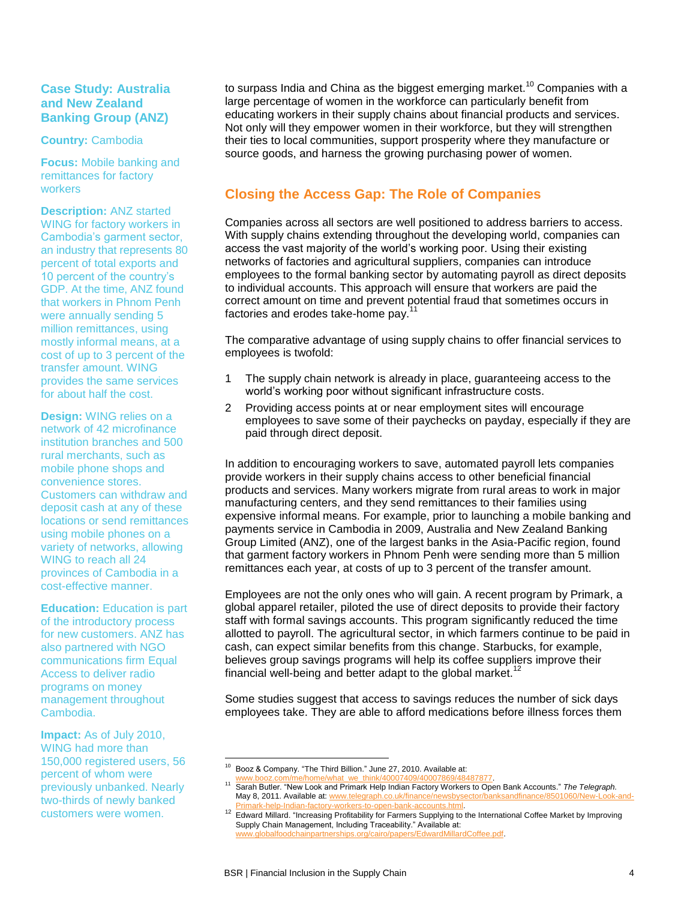# **Case Study: Australia and New Zealand Banking Group (ANZ)**

#### **Country:** Cambodia

**Focus:** Mobile banking and remittances for factory workers

**Description:** ANZ started WING for factory workers in Cambodia's garment sector, an industry that represents 80 percent of total exports and 10 percent of the country's GDP. At the time, ANZ found that workers in Phnom Penh were annually sending 5 million remittances, using mostly informal means, at a cost of up to 3 percent of the transfer amount. WING provides the same services for about half the cost.

**Design:** WING relies on a network of 42 microfinance institution branches and 500 rural merchants, such as mobile phone shops and convenience stores. Customers can withdraw and deposit cash at any of these locations or send remittances using mobile phones on a variety of networks, allowing WING to reach all 24 provinces of Cambodia in a cost-effective manner.

**Education:** Education is part of the introductory process for new customers. ANZ has also partnered with NGO communications firm Equal Access to deliver radio programs on money management throughout Cambodia.

**Impact:** As of July 2010, WING had more than 150,000 registered users, 56 percent of whom were previously unbanked. Nearly two-thirds of newly banked customers were women.

to surpass India and China as the biggest emerging market.<sup>10</sup> Companies with a large percentage of women in the workforce can particularly benefit from educating workers in their supply chains about financial products and services. Not only will they empower women in their workforce, but they will strengthen their ties to local communities, support prosperity where they manufacture or source goods, and harness the growing purchasing power of women.

# **Closing the Access Gap: The Role of Companies**

Companies across all sectors are well positioned to address barriers to access. With supply chains extending throughout the developing world, companies can access the vast majority of the world's working poor. Using their existing networks of factories and agricultural suppliers, companies can introduce employees to the formal banking sector by automating payroll as direct deposits to individual accounts. This approach will ensure that workers are paid the correct amount on time and prevent potential fraud that sometimes occurs in factories and erodes take-home pay.<sup>1</sup>

The comparative advantage of using supply chains to offer financial services to employees is twofold:

- 1 The supply chain network is already in place, guaranteeing access to the world's working poor without significant infrastructure costs.
- 2 Providing access points at or near employment sites will encourage employees to save some of their paychecks on payday, especially if they are paid through direct deposit.

In addition to encouraging workers to save, automated payroll lets companies provide workers in their supply chains access to other beneficial financial products and services. Many workers migrate from rural areas to work in major manufacturing centers, and they send remittances to their families using expensive informal means. For example, prior to launching a mobile banking and payments service in Cambodia in 2009, Australia and New Zealand Banking Group Limited (ANZ), one of the largest banks in the Asia-Pacific region, found that garment factory workers in Phnom Penh were sending more than 5 million remittances each year, at costs of up to 3 percent of the transfer amount.

Employees are not the only ones who will gain. A recent program by Primark, a global apparel retailer, piloted the use of direct deposits to provide their factory staff with formal savings accounts. This program significantly reduced the time allotted to payroll. The agricultural sector, in which farmers continue to be paid in cash, can expect similar benefits from this change. Starbucks, for example, believes group savings programs will help its coffee suppliers improve their financial well-being and better adapt to the global market.<sup>1</sup>

Some studies suggest that access to savings reduces the number of sick days employees take. They are able to afford medications before illness forces them

l Booz & Company. "The Third Billion." June 27, 2010. Available at:

ome/what\_we\_think/40007409/40007869/48487877.

<sup>11</sup> Sarah Butler. "New Look and Primark Help Indian Factory Workers to Open Bank Accounts." *The Telegraph.*  May 8, 2011. Available at: www.telegraph.co.uk/finance/newsbysector/banksandfinance/8501060/New-L [Primark-help-Indian-factory-workers-to-open-bank-accounts.html.](http://www.telegraph.co.uk/finance/newsbysector/banksandfinance/8501060/New-Look-and-Primark-help-Indian-factory-workers-to-open-bank-accounts.html)

<sup>&</sup>lt;sup>12</sup> Edward Millard. "Increasing Profitability for Farmers Supplying to the International Coffee Market by Improving Supply Chain Management, Including Traceability." Available at: chainpartnerships.org/cairo/papers/EdwardMillardCoffee.pdf